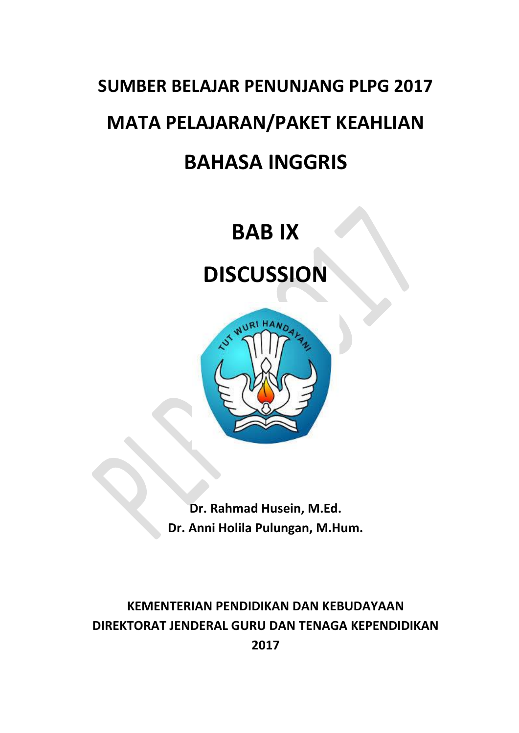# **SUMBER BELAJAR PENUNJANG PLPG 2017 MATA PELAJARAN/PAKET KEAHLIAN BAHASA INGGRIS**

## **BAB IX**

## **DISCUSSION**



**Dr. Rahmad Husein, M.Ed. Dr. Anni Holila Pulungan, M.Hum.**

### **KEMENTERIAN PENDIDIKAN DAN KEBUDAYAAN DIREKTORAT JENDERAL GURU DAN TENAGA KEPENDIDIKAN 2017**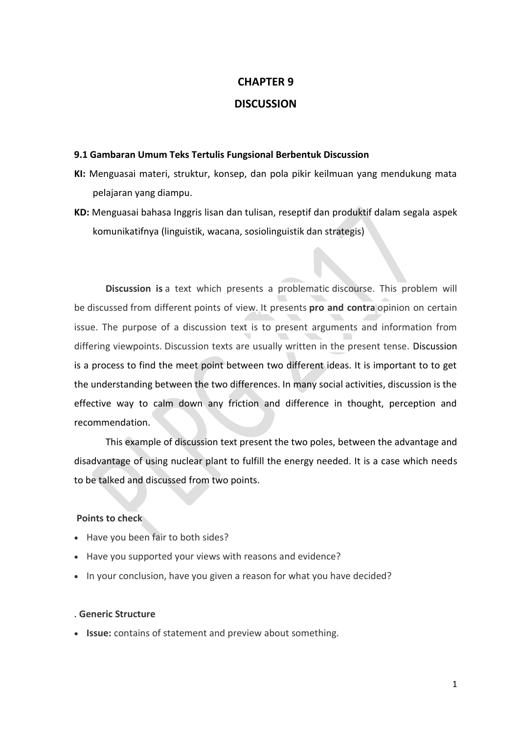### **CHAPTER 9**

#### **DISCUSSION**

#### **9.1 Gambaran Umum Teks Tertulis Fungsional Berbentuk Discussion**

- **KI:** Menguasai materi, struktur, konsep, dan pola pikir keilmuan yang mendukung mata pelajaran yang diampu.
- **KD:** Menguasai bahasa Inggris lisan dan tulisan, reseptif dan produktif dalam segala aspek komunikatifnya (linguistik, wacana, sosiolinguistik dan strategis)

**Discussion is** a text which presents a problematic discourse. This problem will be discussed from different points of view. It presents **pro and contra** opinion on certain issue. The purpose of a discussion text is to present arguments and information from differing viewpoints. Discussion texts are usually written in the present tense. Discussion is a process to find the meet point between two different ideas. It is important to to get the understanding between the two differences. In many social activities, discussion is the effective way to calm down any friction and difference in thought, perception and recommendation.

This example of discussion text present the two poles, between the advantage and disadvantage of using nuclear plant to fulfill the energy needed. It is a case which needs to be talked and discussed from two points.

#### **Points to check**

- Have you been fair to both sides?
- Have you supported your views with reasons and evidence?
- In your conclusion, have you given a reason for what you have decided?

#### . **Generic Structure**

**Issue:** contains of statement and preview about something.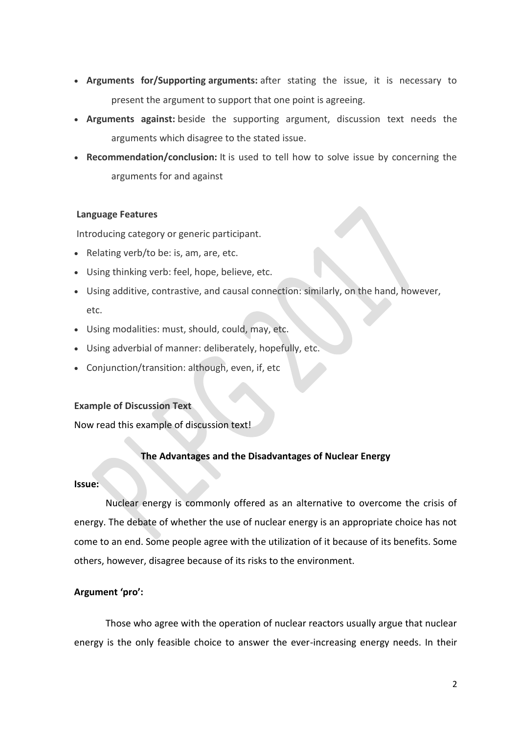- **Arguments for/Supporting arguments:** after stating the issue, it is necessary to present the argument to support that one point is agreeing.
- **Arguments against:** beside the supporting argument, discussion text needs the arguments which disagree to the stated issue.
- **Recommendation/conclusion:** It is used to tell how to solve issue by concerning the arguments for and against

#### **Language Features**

Introducing category or generic participant.

- Relating verb/to be: is, am, are, etc.
- Using thinking verb: feel, hope, believe, etc.
- Using additive, contrastive, and causal connection: similarly, on the hand, however, etc.
- Using modalities: must, should, could, may, etc.
- Using adverbial of manner: deliberately, hopefully, etc.
- Conjunction/transition: although, even, if, etc

#### **Example of Discussion Text**

Now read this example of discussion text!

#### **The Advantages and the Disadvantages of Nuclear Energy**

#### **Issue:**

Nuclear energy is commonly offered as an alternative to overcome the crisis of energy. The debate of whether the use of nuclear energy is an appropriate choice has not come to an end. Some people agree with the utilization of it because of its benefits. Some others, however, disagree because of its risks to the environment.

#### **Argument 'pro':**

Those who agree with the operation of nuclear reactors usually argue that nuclear energy is the only feasible choice to answer the ever-increasing energy needs. In their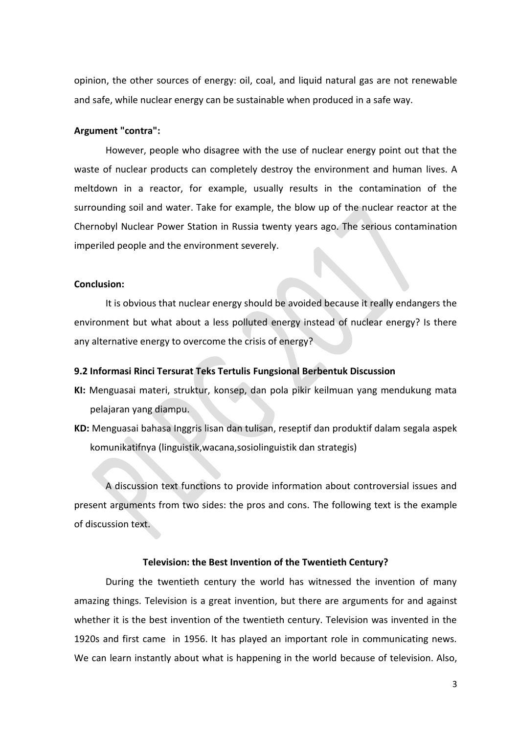opinion, the other sources of energy: oil, coal, and liquid natural gas are not renewable and safe, while nuclear energy can be sustainable when produced in a safe way.

#### **Argument "contra":**

However, people who disagree with the use of nuclear energy point out that the waste of nuclear products can completely destroy the environment and human lives. A meltdown in a reactor, for example, usually results in the contamination of the surrounding soil and water. Take for example, the blow up of the nuclear reactor at the Chernobyl Nuclear Power Station in Russia twenty years ago. The serious contamination imperiled people and the environment severely.

#### **Conclusion:**

It is obvious that nuclear energy should be avoided because it really endangers the environment but what about a less polluted energy instead of nuclear energy? Is there any alternative energy to overcome the crisis of energy?

#### **9.2 Informasi Rinci Tersurat Teks Tertulis Fungsional Berbentuk Discussion**

- **KI:** Menguasai materi, struktur, konsep, dan pola pikir keilmuan yang mendukung mata pelajaran yang diampu.
- **KD:** Menguasai bahasa Inggris lisan dan tulisan, reseptif dan produktif dalam segala aspek komunikatifnya (linguistik,wacana,sosiolinguistik dan strategis)

A discussion text functions to provide information about controversial issues and present arguments from two sides: the pros and cons. The following text is the example of discussion text.

#### **Television: the Best Invention of the Twentieth Century?**

During the twentieth century the world has witnessed the invention of many amazing things. Television is a great invention, but there are arguments for and against whether it is the best invention of the twentieth century. Television was invented in the 1920s and first came in 1956. It has played an important role in communicating news. We can learn instantly about what is happening in the world because of television. Also,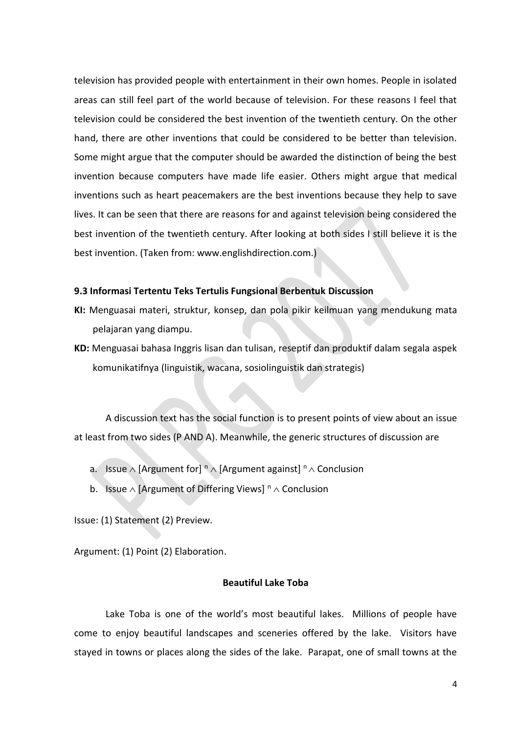television has provided people with entertainment in their own homes. People in isolated areas can still feel part of the world because of television. For these reasons I feel that television could be considered the best invention of the twentieth century. On the other hand, there are other inventions that could be considered to be better than television. Some might argue that the computer should be awarded the distinction of being the best invention because computers have made life easier. Others might argue that medical inventions such as heart peacemakers are the best inventions because they help to save lives. It can be seen that there are reasons for and against television being considered the best invention of the twentieth century. After looking at both sides I still believe it is the best invention. (Taken from: www.englishdirection.com.)

#### **9.3 Informasi Tertentu Teks Tertulis Fungsional Berbentuk Discussion**

- **KI:** Menguasai materi, struktur, konsep, dan pola pikir keilmuan yang mendukung mata pelajaran yang diampu.
- **KD:** Menguasai bahasa Inggris lisan dan tulisan, reseptif dan produktif dalam segala aspek komunikatifnya (linguistik, wacana, sosiolinguistik dan strategis)

A discussion text has the social function is to present points of view about an issue at least from two sides (P AND A). Meanwhile, the generic structures of discussion are

- a. Issue  $\wedge$  [Argument for]  $\sqrt[n]{\wedge}$  [Argument against]  $\sqrt[n]{\wedge}$  Conclusion
- b. Issue  $\wedge$  [Argument of Differing Views]  $\triangle$   $\wedge$  Conclusion

Issue: (1) Statement (2) Preview.

Argument: (1) Point (2) Elaboration.

#### **Beautiful Lake Toba**

Lake Toba is one of the world's most beautiful lakes. Millions of people have come to enjoy beautiful landscapes and sceneries offered by the lake. Visitors have stayed in towns or places along the sides of the lake. Parapat, one of small towns at the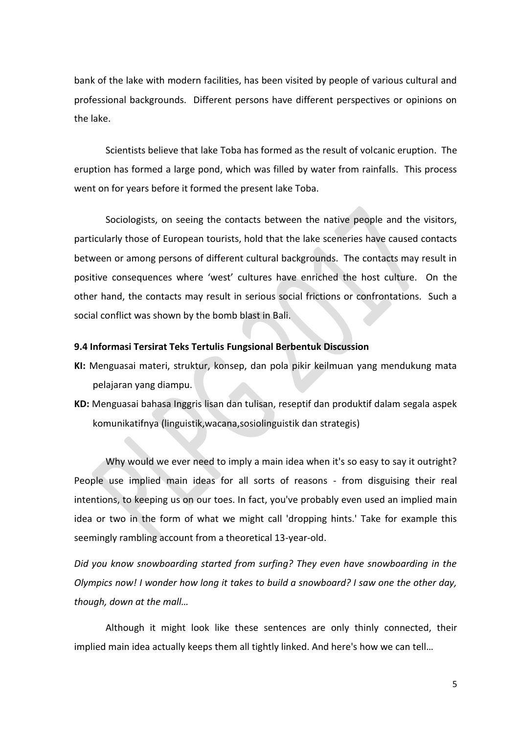bank of the lake with modern facilities, has been visited by people of various cultural and professional backgrounds. Different persons have different perspectives or opinions on the lake.

Scientists believe that lake Toba has formed as the result of volcanic eruption. The eruption has formed a large pond, which was filled by water from rainfalls. This process went on for years before it formed the present lake Toba.

Sociologists, on seeing the contacts between the native people and the visitors, particularly those of European tourists, hold that the lake sceneries have caused contacts between or among persons of different cultural backgrounds. The contacts may result in positive consequences where 'west' cultures have enriched the host culture. On the other hand, the contacts may result in serious social frictions or confrontations. Such a social conflict was shown by the bomb blast in Bali.

#### **9.4 Informasi Tersirat Teks Tertulis Fungsional Berbentuk Discussion**

- **KI:** Menguasai materi, struktur, konsep, dan pola pikir keilmuan yang mendukung mata pelajaran yang diampu.
- **KD:** Menguasai bahasa Inggris lisan dan tulisan, reseptif dan produktif dalam segala aspek komunikatifnya (linguistik,wacana,sosiolinguistik dan strategis)

Why would we ever need to imply a main idea when it's so easy to say it outright? People use implied main ideas for all sorts of reasons - from disguising their real intentions, to keeping us on our toes. In fact, you've probably even used an implied main idea or two in the form of what we might call 'dropping hints.' Take for example this seemingly rambling account from a theoretical 13-year-old.

*Did you know snowboarding started from surfing? They even have snowboarding in the Olympics now! I wonder how long it takes to build a snowboard? I saw one the other day, though, down at the mall…*

Although it might look like these sentences are only thinly connected, their implied main idea actually keeps them all tightly linked. And here's how we can tell…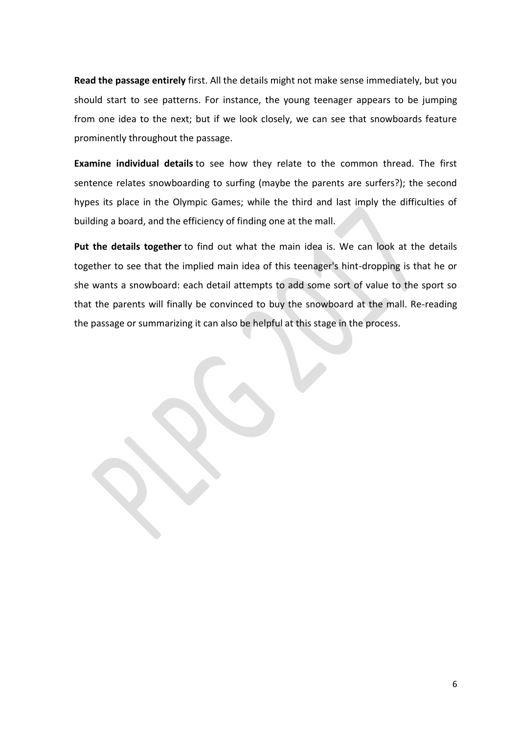**Read the passage entirely** first. All the details might not make sense immediately, but you should start to see patterns. For instance, the young teenager appears to be jumping from one idea to the next; but if we look closely, we can see that snowboards feature prominently throughout the passage.

**Examine individual details** to see how they relate to the common thread. The first sentence relates snowboarding to surfing (maybe the parents are surfers?); the second hypes its place in the Olympic Games; while the third and last imply the difficulties of building a board, and the efficiency of finding one at the mall.

**Put the details together** to find out what the main idea is. We can look at the details together to see that the implied main idea of this teenager's hint-dropping is that he or she wants a snowboard: each detail attempts to add some sort of value to the sport so that the parents will finally be convinced to buy the snowboard at the mall. Re-reading the passage or summarizing it can also be helpful at this stage in the process.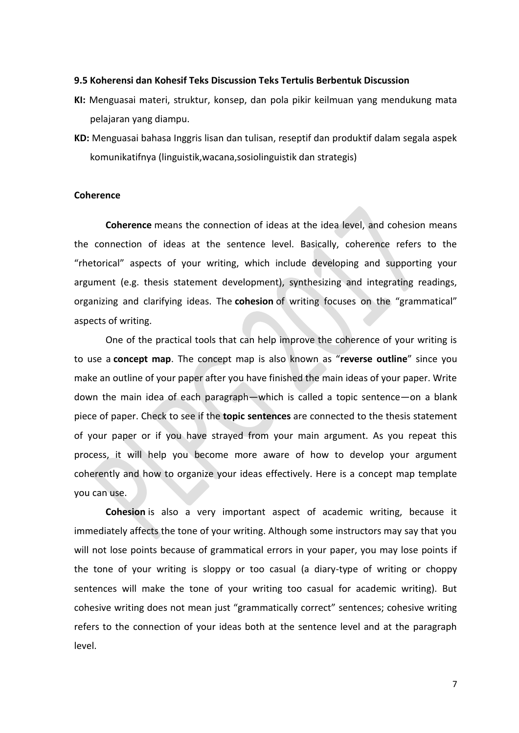#### **9.5 Koherensi dan Kohesif Teks Discussion Teks Tertulis Berbentuk Discussion**

- **KI:** Menguasai materi, struktur, konsep, dan pola pikir keilmuan yang mendukung mata pelajaran yang diampu.
- **KD:** Menguasai bahasa Inggris lisan dan tulisan, reseptif dan produktif dalam segala aspek komunikatifnya (linguistik,wacana,sosiolinguistik dan strategis)

#### **Coherence**

**Coherence** means the connection of ideas at the idea level, and cohesion means the connection of ideas at the sentence level. Basically, coherence refers to the "rhetorical" aspects of your writing, which include developing and supporting your argument (e.g. thesis statement development), synthesizing and integrating readings, organizing and clarifying ideas. The **cohesion** of writing focuses on the "grammatical" aspects of writing.

One of the practical tools that can help improve the coherence of your writing is to use a **concept map**. The concept map is also known as "**reverse outline**" since you make an outline of your paper after you have finished the main ideas of your paper. Write down the main idea of each paragraph—which is called a topic sentence—on a blank piece of paper. Check to see if the **topic sentences** are connected to the thesis statement of your paper or if you have strayed from your main argument. As you repeat this process, it will help you become more aware of how to develop your argument coherently and how to organize your ideas effectively. Here is a concept map template you can use.

**Cohesion** is also a very important aspect of academic writing, because it immediately affects the tone of your writing. Although some instructors may say that you will not lose points because of grammatical errors in your paper, you may lose points if the tone of your writing is sloppy or too casual (a diary-type of writing or choppy sentences will make the tone of your writing too casual for academic writing). But cohesive writing does not mean just "grammatically correct" sentences; cohesive writing refers to the connection of your ideas both at the sentence level and at the paragraph level.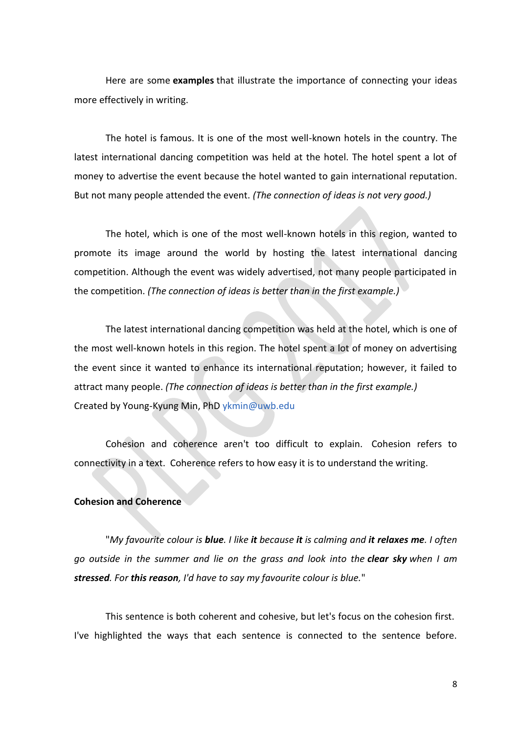Here are some **examples** that illustrate the importance of connecting your ideas more effectively in writing.

The hotel is famous. It is one of the most well-known hotels in the country. The latest international dancing competition was held at the hotel. The hotel spent a lot of money to advertise the event because the hotel wanted to gain international reputation. But not many people attended the event. *(The connection of ideas is not very good.)*

The hotel, which is one of the most well-known hotels in this region, wanted to promote its image around the world by hosting the latest international dancing competition. Although the event was widely advertised, not many people participated in the competition. *(The connection of ideas is better than in the first example.)*

The latest international dancing competition was held at the hotel, which is one of the most well-known hotels in this region. The hotel spent a lot of money on advertising the event since it wanted to enhance its international reputation; however, it failed to attract many people. *(The connection of ideas is better than in the first example.)* Created by Young-Kyung Min, PhD [ykmin@uwb.edu](mailto:ykmin@uwb.edu?subject=ESL%20Student%20Handbook)

Cohesion and coherence aren't too difficult to explain. Cohesion refers to connectivity in a text. Coherence refers to how easy it is to understand the writing.

#### **Cohesion and Coherence**

"*My favourite colour is blue. I like it because it is calming and it relaxes me. I often go outside in the summer and lie on the grass and look into the clear sky when I am stressed. For this reason, I'd have to say my favourite colour is blue.*"

This sentence is both coherent and cohesive, but let's focus on the cohesion first. I've highlighted the ways that each sentence is connected to the sentence before.